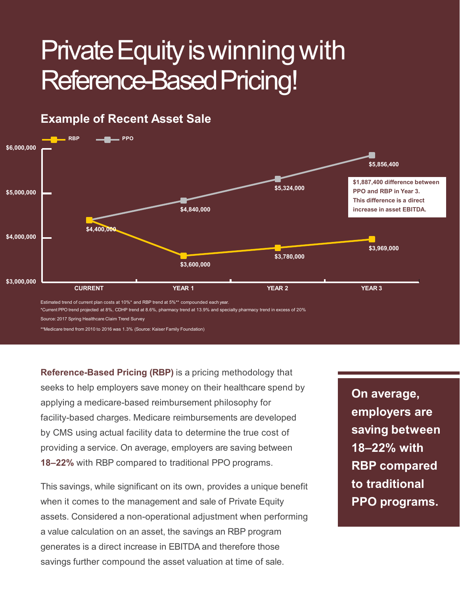## Example of Recent Asset Sale Private Equity is winning with Reference-Based Pricing!



Reference-Based Pricing (RBP) is a pricing methodology that seeks to help employers save money on their healthcare spend by facility-based charges. Medicare reimbursements are developed by CMS using actual facility data to determine the true cost of **Saving between** providing a service. On average, employers are saving between Example to the material of the material of the material of the material of the material of the material of the material PPO programs.<br>
The same of the people of the material people and call the material of the material peo **Reference-Based Pricing (RBP)** is a pricing methodology that<br>seeks to help employers save money on their healthcare spend by<br>applying a medicare-based reimbursement philosophy for<br>facility-based charges. Medicare reimburs

This savings, while significant on its own, provides a unique benefit when it comes to the management and sale of Private Equity **The PPO programs.** assets. Considered a non-operational adjustment when performing a value calculation on an asset, the savings an RBP program generates is a direct increase in EBITDA and therefore those

On average, employers are 18–22% with RBP compared to traditional On average,<br>employers are<br>saving between<br>18–22% with<br>RBP compared<br>to traditional<br>PPO programs.